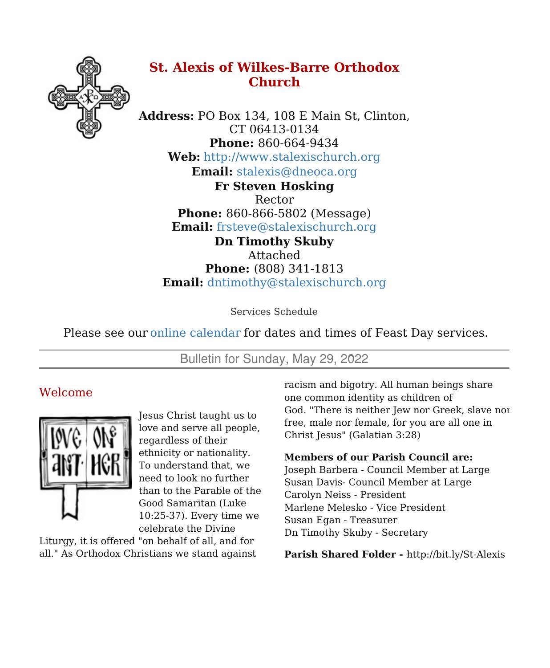

# **St. Alexis of Wilkes-Barre Orthodox Church**

**Address:** PO Box 134, 108 E Main St, Clinton, CT 06413-0134 **Phone:** 860-664-9434 **Web:** <http://www.stalexischurch.org> **Email:** [stalexis@dneoca.org](mailto:stalexis@dneoca.org) **Fr Steven Hosking** Rector **Phone:** 860-866-5802 (Message)

**Email:** [frsteve@stalexischurch.org](mailto:frsteve@stalexischurch.org) **Dn Timothy Skuby** Attached **Phone:** (808) 341-1813 **Email:** [dntimothy@stalexischurch.org](mailto:dntimothy@stalexischurch.org)

Services Schedule

Please see our online [calendar](http://stalexischurch.org/schedule.html) for dates and times of Feast Day services.

Bulletin for Sunday, May 29, 2022

## Welcome



Jesus Christ taught us to love and serve all people, regardless of their ethnicity or nationality. To understand that, we need to look no further than to the Parable of the Good Samaritan (Luke 10:25-37). Every time we celebrate the Divine

Liturgy, it is offered "on behalf of all, and for all." As Orthodox Christians we stand against racism and bigotry. All human beings share one common identity as children of God. "There is neither Jew nor Greek, slave nor free, male nor female, for you are all one in Christ Jesus" (Galatian 3:28)

### **Members of our Parish Council are:**

Joseph Barbera - Council Member at Large Susan Davis- Council Member at Large Carolyn Neiss - President Marlene Melesko - Vice President Susan Egan - Treasurer Dn Timothy Skuby - Secretary

**Parish Shared Folder -** http://bit.ly/St-Alexis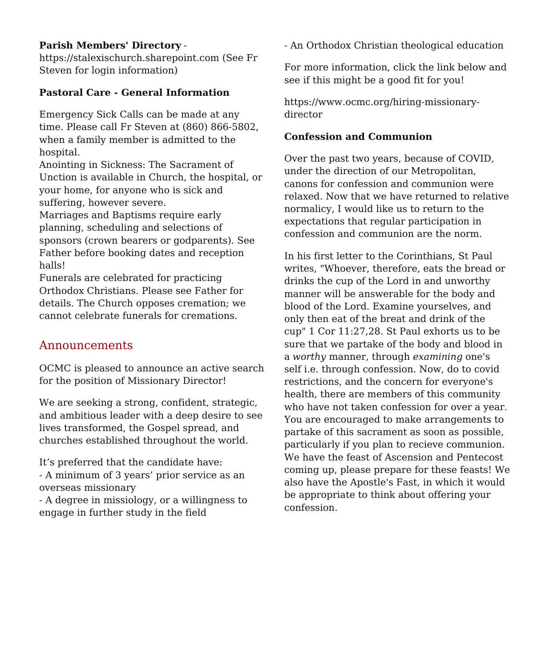### **Parish Members' Directory** -

https://stalexischurch.sharepoint.com (See Fr Steven for login information)

### **Pastoral Care - General Information**

Emergency Sick Calls can be made at any time. Please call Fr Steven at (860) 866-5802, when a family member is admitted to the hospital.

Anointing in Sickness: The Sacrament of Unction is available in Church, the hospital, or your home, for anyone who is sick and suffering, however severe.

Marriages and Baptisms require early planning, scheduling and selections of sponsors (crown bearers or godparents). See Father before booking dates and reception halls!

Funerals are celebrated for practicing Orthodox Christians. Please see Father for details. The Church opposes cremation; we cannot celebrate funerals for cremations.

## Announcements

OCMC is pleased to announce an active search for the position of Missionary Director!

We are seeking a strong, confident, strategic, and ambitious leader with a deep desire to see lives transformed, the Gospel spread, and churches established throughout the world.

It's preferred that the candidate have: - A minimum of 3 years' prior service as an overseas missionary

- A degree in missiology, or a willingness to engage in further study in the field

- An Orthodox Christian theological education

For more information, click the link below and see if this might be a good fit for you!

https://www.ocmc.org/hiring-missionarydirector

### **Confession and Communion**

Over the past two years, because of COVID, under the direction of our Metropolitan, canons for confession and communion were relaxed. Now that we have returned to relative normalicy, I would like us to return to the expectations that regular participation in confession and communion are the norm.

In his first letter to the Corinthians, St Paul writes, "Whoever, therefore, eats the bread or drinks the cup of the Lord in and unworthy manner will be answerable for the body and blood of the Lord. Examine yourselves, and only then eat of the breat and drink of the cup" 1 Cor 11:27,28. St Paul exhorts us to be sure that we partake of the body and blood in a *worthy* manner, through *examining* one's self i.e. through confession. Now, do to covid restrictions, and the concern for everyone's health, there are members of this community who have not taken confession for over a year. You are encouraged to make arrangements to partake of this sacrament as soon as possible, particularly if you plan to recieve communion. We have the feast of Ascension and Pentecost coming up, please prepare for these feasts! We also have the Apostle's Fast, in which it would be appropriate to think about offering your confession.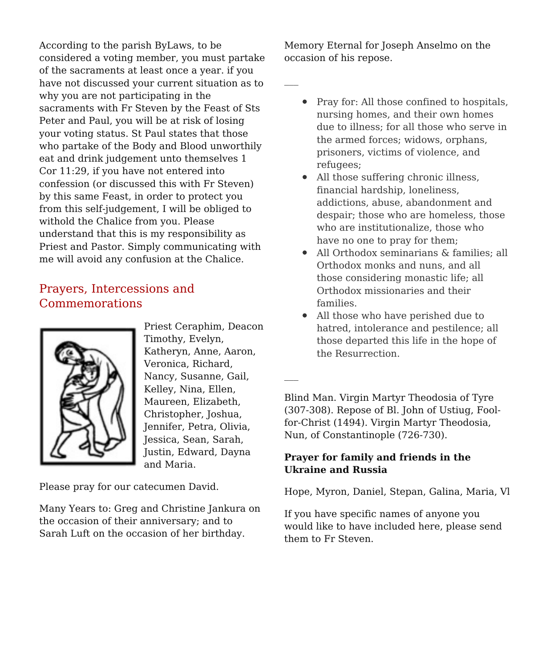According to the parish ByLaws, to be considered a voting member, you must partake of the sacraments at least once a year. if you have not discussed your current situation as to why you are not participating in the sacraments with Fr Steven by the Feast of Sts Peter and Paul, you will be at risk of losing your voting status. St Paul states that those who partake of the Body and Blood unworthily eat and drink judgement unto themselves 1 Cor 11:29, if you have not entered into confession (or discussed this with Fr Steven) by this same Feast, in order to protect you from this self-judgement, I will be obliged to withold the Chalice from you. Please understand that this is my responsibility as Priest and Pastor. Simply communicating with me will avoid any confusion at the Chalice.

## Prayers, Intercessions and Commemorations



Priest Ceraphim, Deacon Timothy, Evelyn, Katheryn, Anne, Aaron, Veronica, Richard, Nancy, Susanne, Gail, Kelley, Nina, Ellen, Maureen, Elizabeth, Christopher, Joshua, Jennifer, Petra, Olivia, Jessica, Sean, Sarah, Justin, Edward, Dayna and Maria.

Please pray for our catecumen David.

Many Years to: Greg and Christine Jankura on the occasion of their anniversary; and to Sarah Luft on the occasion of her birthday.

Memory Eternal for Joseph Anselmo on the occasion of his repose.

- - Pray for: All those confined to hospitals, nursing homes, and their own homes due to illness; for all those who serve in the armed forces; widows, orphans, prisoners, victims of violence, and refugees;
	- All those suffering chronic illness, financial hardship, loneliness, addictions, abuse, abandonment and despair; those who are homeless, those who are institutionalize, those who have no one to pray for them;
	- All Orthodox seminarians & families; all Orthodox monks and nuns, and all those considering monastic life; all Orthodox missionaries and their families.
	- All those who have perished due to hatred, intolerance and pestilence; all those departed this life in the hope of the Resurrection.

Blind Man. Virgin Martyr Theodosia of Tyre (307-308). Repose of Bl. John of Ustiug, Foolfor-Christ (1494). Virgin Martyr Theodosia, Nun, of Constantinople (726-730).

### **Prayer for family and friends in the Ukraine and Russia**

Hope, Myron, Daniel, Stepan, Galina, Maria, Vl

If you have specific names of anyone you would like to have included here, please send them to Fr Steven.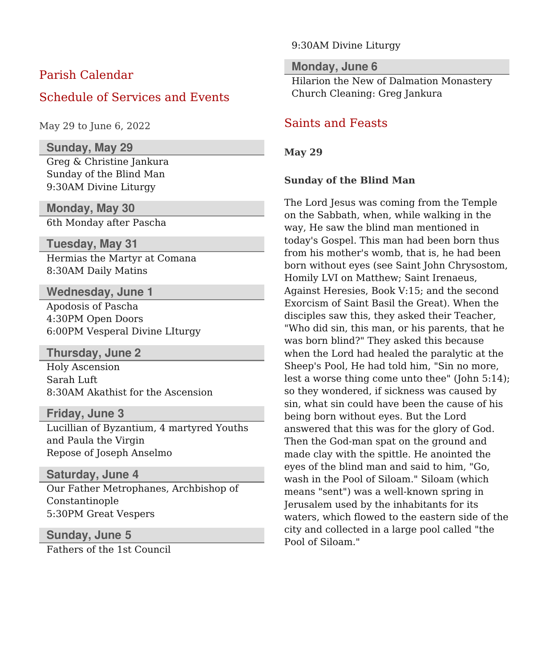## Parish Calendar

### Schedule of Services and Events

May 29 to June 6, 2022

#### **Sunday, May 29**

Greg & Christine Jankura Sunday of the Blind Man 9:30AM Divine Liturgy

**Monday, May 30** 6th Monday after Pascha

**Tuesday, May 31**

Hermias the Martyr at Comana 8:30AM Daily Matins

**Wednesday, June 1** Apodosis of Pascha 4:30PM Open Doors 6:00PM Vesperal Divine LIturgy

#### **Thursday, June 2**

Holy Ascension Sarah Luft 8:30AM Akathist for the Ascension

#### **Friday, June 3**

Lucillian of Byzantium, 4 martyred Youths and Paula the Virgin Repose of Joseph Anselmo

### **Saturday, June 4**

Our Father Metrophanes, Archbishop of Constantinople 5:30PM Great Vespers

### **Sunday, June 5**

Fathers of the 1st Council

#### 9:30AM Divine Liturgy

### **Monday, June 6**

Hilarion the New of Dalmation Monastery Church Cleaning: Greg Jankura

### Saints and Feasts

#### **May 29**

#### **Sunday of the Blind Man**

The Lord Jesus was coming from the Temple on the Sabbath, when, while walking in the way, He saw the blind man mentioned in today's Gospel. This man had been born thus from his mother's womb, that is, he had been born without eyes (see Saint John Chrysostom, Homily LVI on Matthew; Saint Irenaeus, Against Heresies, Book V:15; and the second Exorcism of Saint Basil the Great). When the disciples saw this, they asked their Teacher, "Who did sin, this man, or his parents, that he was born blind?" They asked this because when the Lord had healed the paralytic at the Sheep's Pool, He had told him, "Sin no more, lest a worse thing come unto thee" (John 5:14); so they wondered, if sickness was caused by sin, what sin could have been the cause of his being born without eyes. But the Lord answered that this was for the glory of God. Then the God-man spat on the ground and made clay with the spittle. He anointed the eyes of the blind man and said to him, "Go, wash in the Pool of Siloam." Siloam (which means "sent") was a well-known spring in Jerusalem used by the inhabitants for its waters, which flowed to the eastern side of the city and collected in a large pool called "the Pool of Siloam."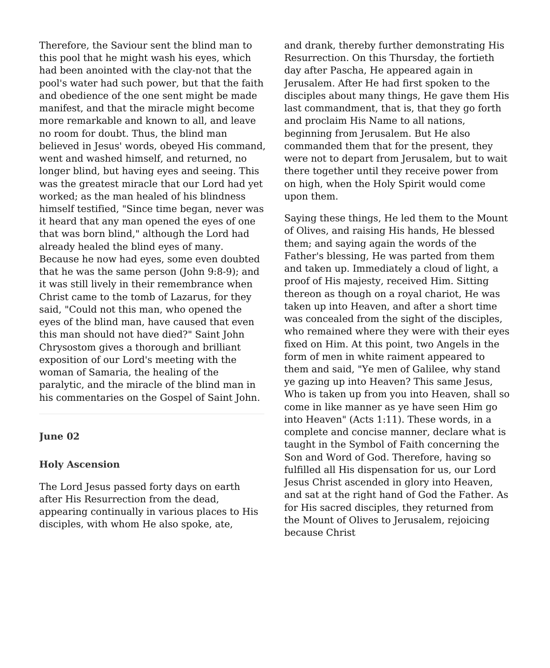Therefore, the Saviour sent the blind man to this pool that he might wash his eyes, which had been anointed with the clay-not that the pool's water had such power, but that the faith and obedience of the one sent might be made manifest, and that the miracle might become more remarkable and known to all, and leave no room for doubt. Thus, the blind man believed in Jesus' words, obeyed His command, went and washed himself, and returned, no longer blind, but having eyes and seeing. This was the greatest miracle that our Lord had yet worked; as the man healed of his blindness himself testified, "Since time began, never was it heard that any man opened the eyes of one that was born blind," although the Lord had already healed the blind eyes of many. Because he now had eyes, some even doubted that he was the same person (John 9:8-9); and it was still lively in their remembrance when Christ came to the tomb of Lazarus, for they said, "Could not this man, who opened the eyes of the blind man, have caused that even this man should not have died?" Saint John Chrysostom gives a thorough and brilliant exposition of our Lord's meeting with the woman of Samaria, the healing of the paralytic, and the miracle of the blind man in his commentaries on the Gospel of Saint John.

#### **June 02**

#### **Holy Ascension**

The Lord Jesus passed forty days on earth after His Resurrection from the dead, appearing continually in various places to His disciples, with whom He also spoke, ate,

and drank, thereby further demonstrating His Resurrection. On this Thursday, the fortieth day after Pascha, He appeared again in Jerusalem. After He had first spoken to the disciples about many things, He gave them His last commandment, that is, that they go forth and proclaim His Name to all nations, beginning from Jerusalem. But He also commanded them that for the present, they were not to depart from Jerusalem, but to wait there together until they receive power from on high, when the Holy Spirit would come upon them.

Saying these things, He led them to the Mount of Olives, and raising His hands, He blessed them; and saying again the words of the Father's blessing, He was parted from them and taken up. Immediately a cloud of light, a proof of His majesty, received Him. Sitting thereon as though on a royal chariot, He was taken up into Heaven, and after a short time was concealed from the sight of the disciples, who remained where they were with their eyes fixed on Him. At this point, two Angels in the form of men in white raiment appeared to them and said, "Ye men of Galilee, why stand ye gazing up into Heaven? This same Jesus, Who is taken up from you into Heaven, shall so come in like manner as ye have seen Him go into Heaven" (Acts 1:11). These words, in a complete and concise manner, declare what is taught in the Symbol of Faith concerning the Son and Word of God. Therefore, having so fulfilled all His dispensation for us, our Lord Jesus Christ ascended in glory into Heaven, and sat at the right hand of God the Father. As for His sacred disciples, they returned from the Mount of Olives to Jerusalem, rejoicing because Christ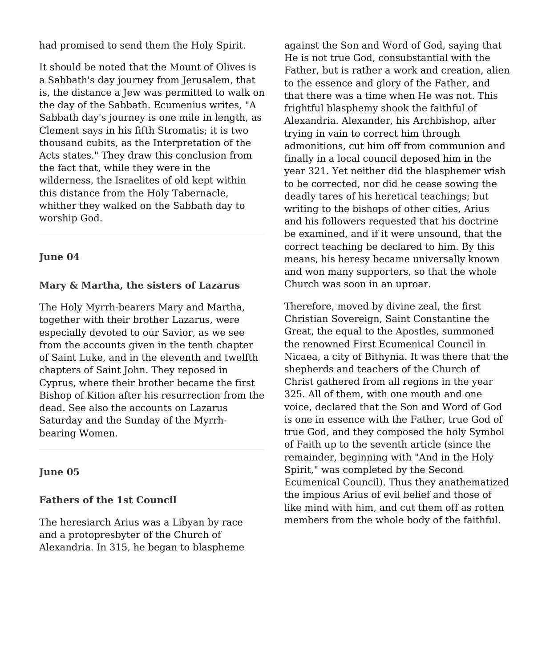had promised to send them the Holy Spirit.

It should be noted that the Mount of Olives is a Sabbath's day journey from Jerusalem, that is, the distance a Jew was permitted to walk on the day of the Sabbath. Ecumenius writes, "A Sabbath day's journey is one mile in length, as Clement says in his fifth Stromatis; it is two thousand cubits, as the Interpretation of the Acts states." They draw this conclusion from the fact that, while they were in the wilderness, the Israelites of old kept within this distance from the Holy Tabernacle, whither they walked on the Sabbath day to worship God.

#### **June 04**

#### **Mary & Martha, the sisters of Lazarus**

The Holy Myrrh-bearers Mary and Martha, together with their brother Lazarus, were especially devoted to our Savior, as we see from the accounts given in the tenth chapter of Saint Luke, and in the eleventh and twelfth chapters of Saint John. They reposed in Cyprus, where their brother became the first Bishop of Kition after his resurrection from the dead. See also the accounts on Lazarus Saturday and the Sunday of the Myrrhbearing Women.

#### **June 05**

#### **Fathers of the 1st Council**

The heresiarch Arius was a Libyan by race and a protopresbyter of the Church of Alexandria. In 315, he began to blaspheme against the Son and Word of God, saying that He is not true God, consubstantial with the Father, but is rather a work and creation, alien to the essence and glory of the Father, and that there was a time when He was not. This frightful blasphemy shook the faithful of Alexandria. Alexander, his Archbishop, after trying in vain to correct him through admonitions, cut him off from communion and finally in a local council deposed him in the year 321. Yet neither did the blasphemer wish to be corrected, nor did he cease sowing the deadly tares of his heretical teachings; but writing to the bishops of other cities, Arius and his followers requested that his doctrine be examined, and if it were unsound, that the correct teaching be declared to him. By this means, his heresy became universally known and won many supporters, so that the whole Church was soon in an uproar.

Therefore, moved by divine zeal, the first Christian Sovereign, Saint Constantine the Great, the equal to the Apostles, summoned the renowned First Ecumenical Council in Nicaea, a city of Bithynia. It was there that the shepherds and teachers of the Church of Christ gathered from all regions in the year 325. All of them, with one mouth and one voice, declared that the Son and Word of God is one in essence with the Father, true God of true God, and they composed the holy Symbol of Faith up to the seventh article (since the remainder, beginning with "And in the Holy Spirit," was completed by the Second Ecumenical Council). Thus they anathematized the impious Arius of evil belief and those of like mind with him, and cut them off as rotten members from the whole body of the faithful.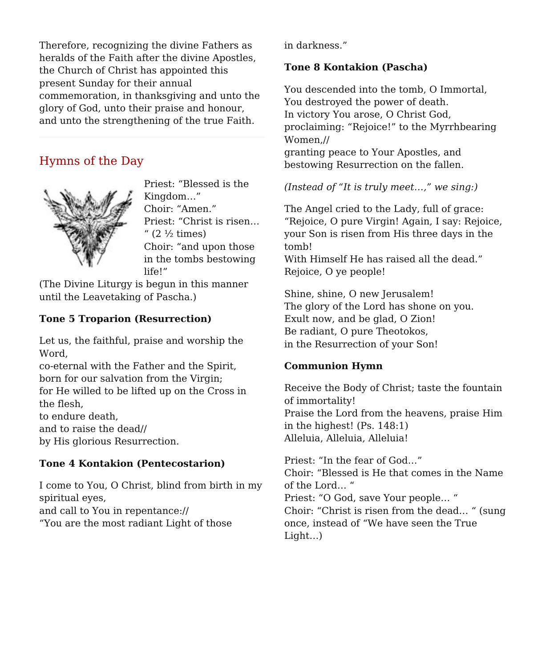Therefore, recognizing the divine Fathers as heralds of the Faith after the divine Apostles, the Church of Christ has appointed this present Sunday for their annual commemoration, in thanksgiving and unto the glory of God, unto their praise and honour, and unto the strengthening of the true Faith.

## Hymns of the Day



Priest: "Blessed is the Kingdom…" Choir: "Amen." Priest: "Christ is risen…  $''$  (2  $\frac{1}{2}$  times) Choir: "and upon those in the tombs bestowing life!"

(The Divine Liturgy is begun in this manner until the Leavetaking of Pascha.)

### **Tone 5 Troparion (Resurrection)**

Let us, the faithful, praise and worship the Word,

co-eternal with the Father and the Spirit, born for our salvation from the Virgin; for He willed to be lifted up on the Cross in the flesh,

to endure death,

and to raise the dead//

by His glorious Resurrection.

### **Tone 4 Kontakion (Pentecostarion)**

I come to You, O Christ, blind from birth in my spiritual eyes, and call to You in repentance:// "You are the most radiant Light of those

in darkness."

### **Tone 8 Kontakion (Pascha)**

You descended into the tomb, O Immortal, You destroyed the power of death. In victory You arose, O Christ God, proclaiming: "Rejoice!" to the Myrrhbearing Women,// granting peace to Your Apostles, and bestowing Resurrection on the fallen.

### *(Instead of "It is truly meet…," we sing:)*

The Angel cried to the Lady, full of grace: "Rejoice, O pure Virgin! Again, I say: Rejoice, your Son is risen from His three days in the tomb!

With Himself He has raised all the dead." Rejoice, O ye people!

Shine, shine, O new Jerusalem! The glory of the Lord has shone on you. Exult now, and be glad, O Zion! Be radiant, O pure Theotokos, in the Resurrection of your Son!

### **Communion Hymn**

Receive the Body of Christ; taste the fountain of immortality! Praise the Lord from the heavens, praise Him in the highest! (Ps. 148:1) Alleluia, Alleluia, Alleluia!

Priest: "In the fear of God…" Choir: "Blessed is He that comes in the Name of the Lord… " Priest: "O God, save Your people… " Choir: "Christ is risen from the dead… " (sung once, instead of "We have seen the True Light…)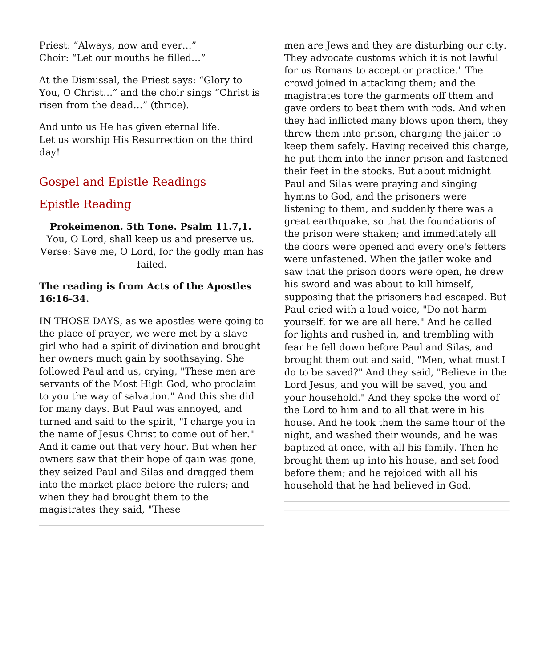Priest: "Always, now and ever…" Choir: "Let our mouths be filled…"

At the Dismissal, the Priest says: "Glory to You, O Christ…" and the choir sings "Christ is risen from the dead…" (thrice).

And unto us He has given eternal life. Let us worship His Resurrection on the third day!

## Gospel and Epistle Readings

## Epistle Reading

### **Prokeimenon. 5th Tone. Psalm 11.7,1.**

You, O Lord, shall keep us and preserve us. Verse: Save me, O Lord, for the godly man has failed.

#### **The reading is from Acts of the Apostles 16:16-34.**

IN THOSE DAYS, as we apostles were going to the place of prayer, we were met by a slave girl who had a spirit of divination and brought her owners much gain by soothsaying. She followed Paul and us, crying, "These men are servants of the Most High God, who proclaim to you the way of salvation." And this she did for many days. But Paul was annoyed, and turned and said to the spirit, "I charge you in the name of Jesus Christ to come out of her." And it came out that very hour. But when her owners saw that their hope of gain was gone, they seized Paul and Silas and dragged them into the market place before the rulers; and when they had brought them to the magistrates they said, "These

men are Jews and they are disturbing our city. They advocate customs which it is not lawful for us Romans to accept or practice." The crowd joined in attacking them; and the magistrates tore the garments off them and gave orders to beat them with rods. And when they had inflicted many blows upon them, they threw them into prison, charging the jailer to keep them safely. Having received this charge, he put them into the inner prison and fastened their feet in the stocks. But about midnight Paul and Silas were praying and singing hymns to God, and the prisoners were listening to them, and suddenly there was a great earthquake, so that the foundations of the prison were shaken; and immediately all the doors were opened and every one's fetters were unfastened. When the jailer woke and saw that the prison doors were open, he drew his sword and was about to kill himself, supposing that the prisoners had escaped. But Paul cried with a loud voice, "Do not harm yourself, for we are all here." And he called for lights and rushed in, and trembling with fear he fell down before Paul and Silas, and brought them out and said, "Men, what must I do to be saved?" And they said, "Believe in the Lord Jesus, and you will be saved, you and your household." And they spoke the word of the Lord to him and to all that were in his house. And he took them the same hour of the night, and washed their wounds, and he was baptized at once, with all his family. Then he brought them up into his house, and set food before them; and he rejoiced with all his household that he had believed in God.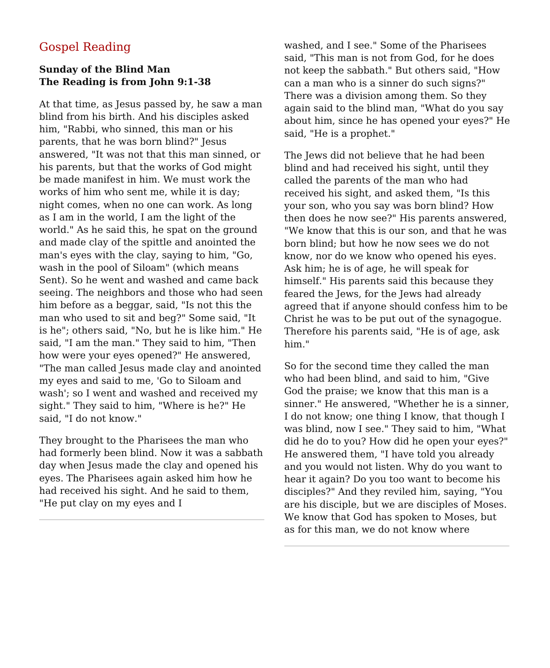## Gospel Reading

### **Sunday of the Blind Man The Reading is from John 9:1-38**

At that time, as Jesus passed by, he saw a man blind from his birth. And his disciples asked him, "Rabbi, who sinned, this man or his parents, that he was born blind?" Jesus answered, "It was not that this man sinned, or his parents, but that the works of God might be made manifest in him. We must work the works of him who sent me, while it is day; night comes, when no one can work. As long as I am in the world, I am the light of the world." As he said this, he spat on the ground and made clay of the spittle and anointed the man's eyes with the clay, saying to him, "Go, wash in the pool of Siloam" (which means Sent). So he went and washed and came back seeing. The neighbors and those who had seen him before as a beggar, said, "Is not this the man who used to sit and beg?" Some said, "It is he"; others said, "No, but he is like him." He said, "I am the man." They said to him, "Then how were your eyes opened?" He answered, "The man called Jesus made clay and anointed my eyes and said to me, 'Go to Siloam and wash'; so I went and washed and received my sight." They said to him, "Where is he?" He said, "I do not know."

They brought to the Pharisees the man who had formerly been blind. Now it was a sabbath day when Jesus made the clay and opened his eyes. The Pharisees again asked him how he had received his sight. And he said to them, "He put clay on my eyes and I

washed, and I see." Some of the Pharisees said, "This man is not from God, for he does not keep the sabbath." But others said, "How can a man who is a sinner do such signs?" There was a division among them. So they again said to the blind man, "What do you say about him, since he has opened your eyes?" He said, "He is a prophet."

The Jews did not believe that he had been blind and had received his sight, until they called the parents of the man who had received his sight, and asked them, "Is this your son, who you say was born blind? How then does he now see?" His parents answered, "We know that this is our son, and that he was born blind; but how he now sees we do not know, nor do we know who opened his eyes. Ask him; he is of age, he will speak for himself." His parents said this because they feared the Jews, for the Jews had already agreed that if anyone should confess him to be Christ he was to be put out of the synagogue. Therefore his parents said, "He is of age, ask him."

So for the second time they called the man who had been blind, and said to him, "Give God the praise; we know that this man is a sinner." He answered, "Whether he is a sinner, I do not know; one thing I know, that though I was blind, now I see." They said to him, "What did he do to you? How did he open your eyes?" He answered them, "I have told you already and you would not listen. Why do you want to hear it again? Do you too want to become his disciples?" And they reviled him, saying, "You are his disciple, but we are disciples of Moses. We know that God has spoken to Moses, but as for this man, we do not know where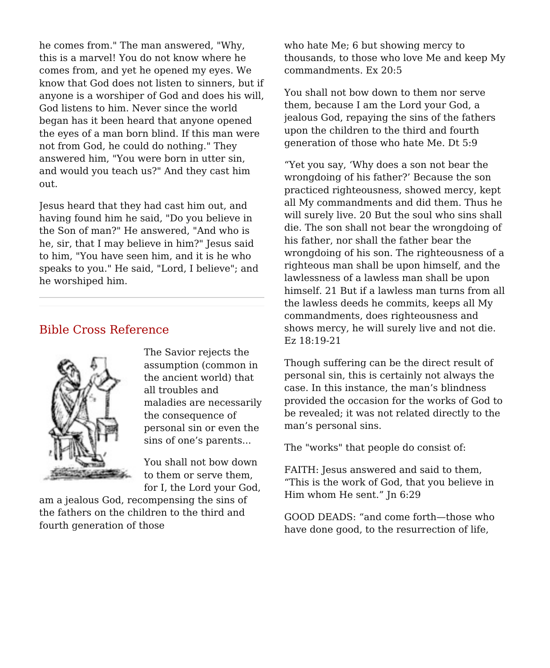he comes from." The man answered, "Why, this is a marvel! You do not know where he comes from, and yet he opened my eyes. We know that God does not listen to sinners, but if anyone is a worshiper of God and does his will, God listens to him. Never since the world began has it been heard that anyone opened the eyes of a man born blind. If this man were not from God, he could do nothing." They answered him, "You were born in utter sin, and would you teach us?" And they cast him out.

Jesus heard that they had cast him out, and having found him he said, "Do you believe in the Son of man?" He answered, "And who is he, sir, that I may believe in him?" Jesus said to him, "You have seen him, and it is he who speaks to you." He said, "Lord, I believe"; and he worshiped him.

## Bible Cross Reference



The Savior rejects the assumption (common in the ancient world) that all troubles and maladies are necessarily the consequence of personal sin or even the sins of one's parents...

You shall not bow down to them or serve them, for I, the Lord your God,

am a jealous God, recompensing the sins of the fathers on the children to the third and fourth generation of those

who hate Me; 6 but showing mercy to thousands, to those who love Me and keep My commandments. Ex 20:5

You shall not bow down to them nor serve them, because I am the Lord your God, a jealous God, repaying the sins of the fathers upon the children to the third and fourth generation of those who hate Me. Dt 5:9

"Yet you say, 'Why does a son not bear the wrongdoing of his father?' Because the son practiced righteousness, showed mercy, kept all My commandments and did them. Thus he will surely live. 20 But the soul who sins shall die. The son shall not bear the wrongdoing of his father, nor shall the father bear the wrongdoing of his son. The righteousness of a righteous man shall be upon himself, and the lawlessness of a lawless man shall be upon himself. 21 But if a lawless man turns from all the lawless deeds he commits, keeps all My commandments, does righteousness and shows mercy, he will surely live and not die. Ez 18:19-21

Though suffering can be the direct result of personal sin, this is certainly not always the case. In this instance, the man's blindness provided the occasion for the works of God to be revealed; it was not related directly to the man's personal sins.

The "works" that people do consist of:

FAITH: Jesus answered and said to them, "This is the work of God, that you believe in Him whom He sent." Jn 6:29

GOOD DEADS: "and come forth—those who have done good, to the resurrection of life,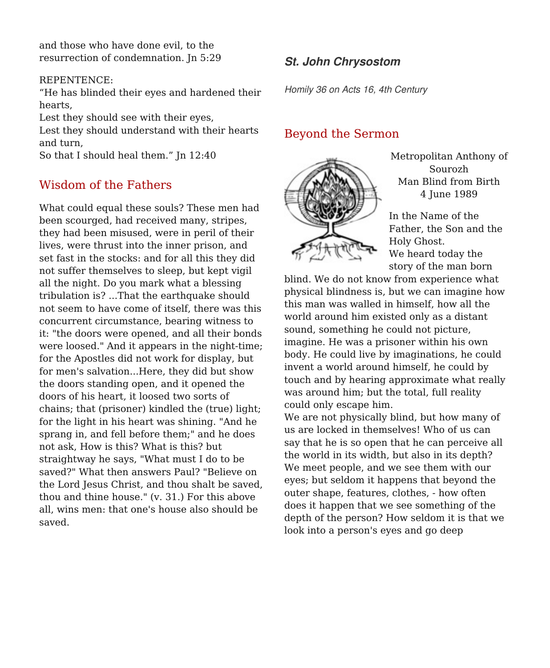and those who have done evil, to the resurrection of condemnation. Jn 5:29

#### REPENTENCE:

"He has blinded their eyes and hardened their hearts,

Lest they should see with their eyes, Lest they should understand with their hearts and turn,

So that I should heal them." Jn 12:40

## Wisdom of the Fathers

What could equal these souls? These men had been scourged, had received many, stripes, they had been misused, were in peril of their lives, were thrust into the inner prison, and set fast in the stocks: and for all this they did not suffer themselves to sleep, but kept vigil all the night. Do you mark what a blessing tribulation is? ...That the earthquake should not seem to have come of itself, there was this concurrent circumstance, bearing witness to it: "the doors were opened, and all their bonds were loosed." And it appears in the night-time; for the Apostles did not work for display, but for men's salvation...Here, they did but show the doors standing open, and it opened the doors of his heart, it loosed two sorts of chains; that (prisoner) kindled the (true) light; for the light in his heart was shining. "And he sprang in, and fell before them;" and he does not ask, How is this? What is this? but straightway he says, "What must I do to be saved?" What then answers Paul? "Believe on the Lord Jesus Christ, and thou shalt be saved, thou and thine house." (v. 31.) For this above all, wins men: that one's house also should be saved.

## **St. John Chrysostom**

Homily 36 on Acts 16, 4th Century

### Beyond the Sermon



Metropolitan Anthony of Sourozh Man Blind from Birth 4 June 1989

In the Name of the Father, the Son and the Holy Ghost. We heard today the story of the man born

blind. We do not know from experience what physical blindness is, but we can imagine how this man was walled in himself, how all the world around him existed only as a distant sound, something he could not picture, imagine. He was a prisoner within his own body. He could live by imaginations, he could invent a world around himself, he could by touch and by hearing approximate what really was around him; but the total, full reality could only escape him.

We are not physically blind, but how many of us are locked in themselves! Who of us can say that he is so open that he can perceive all the world in its width, but also in its depth? We meet people, and we see them with our eyes; but seldom it happens that beyond the outer shape, features, clothes, - how often does it happen that we see something of the depth of the person? How seldom it is that we look into a person's eyes and go deep